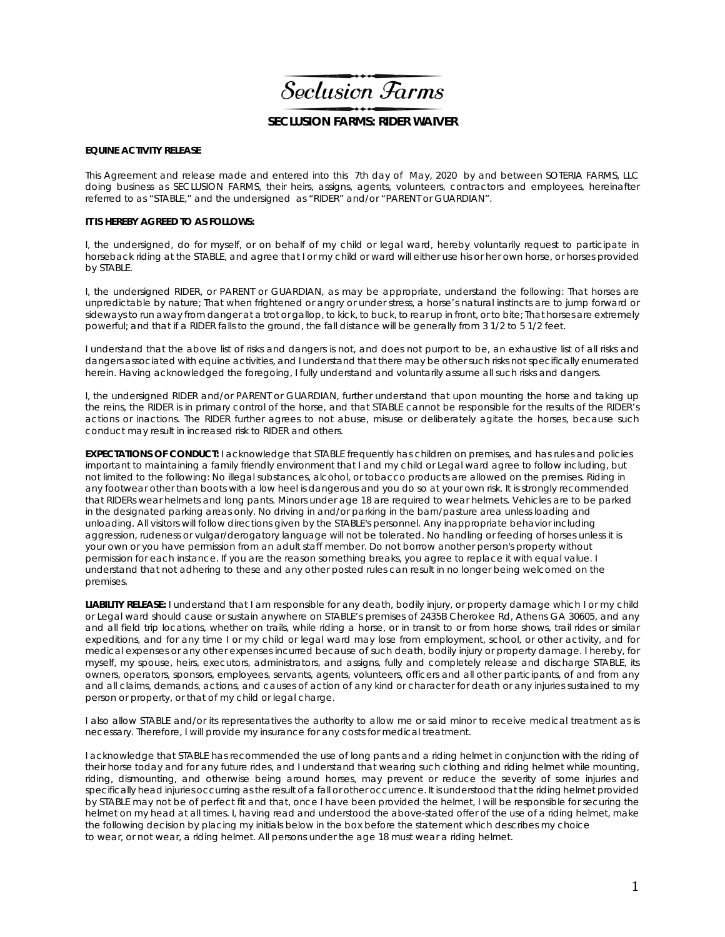Seclusion Farms

## **SECLUSION FARMS: RIDER WAIVER**

## **EQUINE ACTIVITY RELEASE**

This Agreement and release made and entered into this 7th day of May, 2020 by and between SOTERIA FARMS, LLC doing business as SECLUSION FARMS, their heirs, assigns, agents, volunteers, contractors and employees, hereinafter referred to as "STABLE," and the undersigned as "RIDER" and/or "PARENT or GUARDIAN".

## **IT IS HEREBY AGREED TO AS FOLLOWS:**

I, the undersigned, do for myself, or on behalf of my child or legal ward, hereby voluntarily request to participate in horseback riding at the STABLE, and agree that I or my child or ward will either use his or her own horse, or horses provided by STABLE.

I, the undersigned RIDER, or PARENT or GUARDIAN, as may be appropriate, understand the following: That horses are unpredictable by nature; That when frightened or angry or under stress, a horse's natural instincts are to jump forward or sideways to run away from danger at a trot or gallop, to kick, to buck, to rear up in front, or to bite; That horses are extremely powerful; and that if a RIDER falls to the ground, the fall distance will be generally from 3 1/2 to 5 1/2 feet.

I understand that the above list of risks and dangers is not, and does not purport to be, an exhaustive list of all risks and dangers associated with equine activities, and I understand that there may be other such risks not specifically enumerated herein. Having acknowledged the foregoing, I fully understand and voluntarily assume all such risks and dangers.

I, the undersigned RIDER and/or PARENT or GUARDIAN, further understand that upon mounting the horse and taking up the reins, the RIDER is in primary control of the horse, and that STABLE cannot be responsible for the results of the RIDER's actions or inactions. The RIDER further agrees to not abuse, misuse or deliberately agitate the horses, because such conduct may result in increased risk to RIDER and others.

**EXPECTATIONS OF CONDUCT:** I acknowledge that STABLE frequently has children on premises, and has rules and policies important to maintaining a family friendly environment that I and my child or Legal ward agree to follow including, but not limited to the following: No illegal substances, alcohol, or tobacco products are allowed on the premises. Riding in any footwear other than boots with a low heel is dangerous and you do so at your own risk. It is strongly recommended that RIDERs wear helmets and long pants. Minors under age 18 are required to wear helmets. Vehicles are to be parked in the designated parking areas only. No driving in and/or parking in the barn/pasture area unless loading and unloading. All visitors will follow directions given by the STABLE's personnel. Any inappropriate behavior including aggression, rudeness or vulgar/derogatory language will not be tolerated. No handling or feeding of horses unless it is your own or you have permission from an adult staff member. Do not borrow another person's property without permission for each instance. If you are the reason something breaks, you agree to replace it with equal value. I understand that not adhering to these and any other posted rules can result in no longer being welcomed on the premises.

**LIABILITY RELEASE:** I understand that I am responsible for any death, bodily injury, or property damage which I or my child or Legal ward should cause or sustain anywhere on STABLE's premises of 2435B Cherokee Rd, Athens GA 30605, and any and all field trip locations, whether on trails, while riding a horse, or in transit to or from horse shows, trail rides or similar expeditions, and for any time I or my child or legal ward may lose from employment, school, or other activity, and for medical expenses or any other expenses incurred because of such death, bodily injury or property damage. I hereby, for myself, my spouse, heirs, executors, administrators, and assigns, fully and completely release and discharge STABLE, its owners, operators, sponsors, employees, servants, agents, volunteers, officers and all other participants, of and from any and all claims, demands, actions, and causes of action of any kind or character for death or any injuries sustained to my person or property, or that of my child or legal charge.

I also allow STABLE and/or its representatives the authority to allow me or said minor to receive medical treatment as is necessary. Therefore, I will provide my insurance for any costs for medical treatment.

I acknowledge that STABLE has recommended the use of long pants and a riding helmet in conjunction with the riding of their horse today and for any future rides, and I understand that wearing such clothing and riding helmet while mounting, riding, dismounting, and otherwise being around horses, may prevent or reduce the severity of some injuries and specifically head injuries occurring as the result of a fall or other occurrence. It is understood that the riding helmet provided by STABLE may not be of perfect fit and that, once I have been provided the helmet, I will be responsible for securing the helmet on my head at all times. I, having read and understood the above-stated offer of the use of a riding helmet, make the following decision by placing my initials below in the box before the statement which describes my choice to wear, or not wear, a riding helmet. All persons under the age 18 must wear a riding helmet.